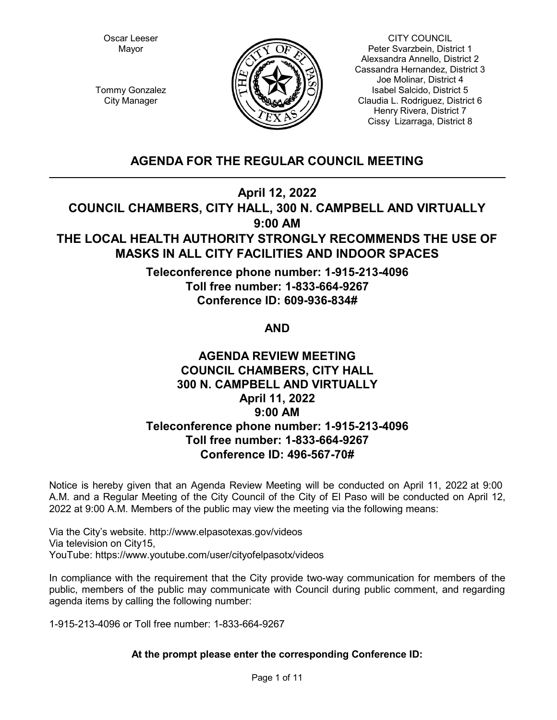Oscar Leeser Mayor



CITY COUNCIL Peter Svarzbein, District 1 Alexsandra Annello, District 2 Cassandra Hernandez, District 3 Joe Molinar, District 4 Isabel Salcido, District 5 Claudia L. Rodriguez, District 6 Henry Rivera, District 7 Cissy Lizarraga, District 8

Tommy Gonzalez City Manager

# **AGENDA FOR THE REGULAR COUNCIL MEETING**

**April 12, 2022**

**COUNCIL CHAMBERS, CITY HALL, 300 N. CAMPBELL AND VIRTUALLY 9:00 AM**

# **THE LOCAL HEALTH AUTHORITY STRONGLY RECOMMENDS THE USE OF MASKS IN ALL CITY FACILITIES AND INDOOR SPACES**

**Teleconference phone number: 1-915-213-4096 Toll free number: 1-833-664-9267 Conference ID: 609-936-834#** 

# **AND**

# **AGENDA REVIEW MEETING COUNCIL CHAMBERS, CITY HALL 300 N. CAMPBELL AND VIRTUALLY April 11, 2022 9:00 AM Teleconference phone number: 1-915-213-4096 Toll free number: 1-833-664-9267 Conference ID: 496-567-70#**

Notice is hereby given that an Agenda Review Meeting will be conducted on April 11, 2022 at 9:00 A.M. and a Regular Meeting of the City Council of the City of El Paso will be conducted on April 12, 2022 at 9:00 A.M. Members of the public may view the meeting via the following means:

Via the City's website. http://www.elpasotexas.gov/videos Via television on City15, YouTube: https://www.youtube.com/user/cityofelpasotx/videos

In compliance with the requirement that the City provide two-way communication for members of the public, members of the public may communicate with Council during public comment, and regarding agenda items by calling the following number:

1-915-213-4096 or Toll free number: 1-833-664-9267

## **At the prompt please enter the corresponding Conference ID:**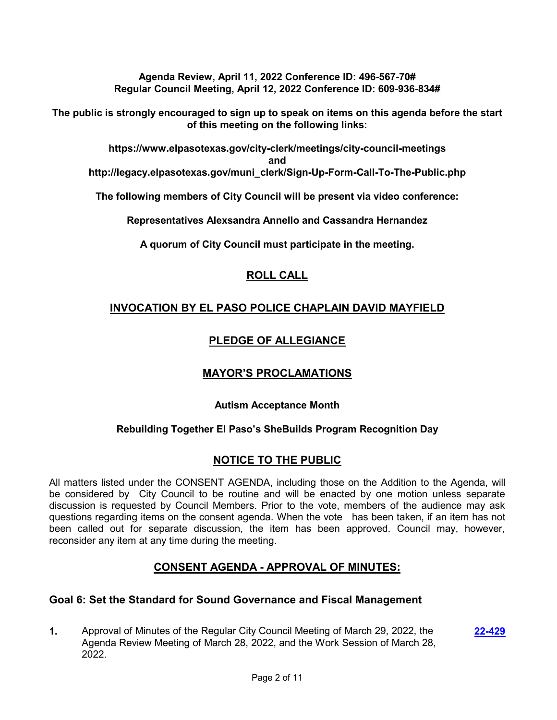**Agenda Review, April 11, 2022 Conference ID: 496-567-70# Regular Council Meeting, April 12, 2022 Conference ID: 609-936-834#** 

**The public is strongly encouraged to sign up to speak on items on this agenda before the start of this meeting on the following links:**

**https://www.elpasotexas.gov/city-clerk/meetings/city-council-meetings and http://legacy.elpasotexas.gov/muni\_clerk/Sign-Up-Form-Call-To-The-Public.php**

**The following members of City Council will be present via video conference:**

**Representatives Alexsandra Annello and Cassandra Hernandez**

**A quorum of City Council must participate in the meeting.**

## **ROLL CALL**

## **INVOCATION BY EL PASO POLICE CHAPLAIN DAVID MAYFIELD**

## **PLEDGE OF ALLEGIANCE**

## **MAYOR'S PROCLAMATIONS**

## **Autism Acceptance Month**

## **Rebuilding Together El Paso's SheBuilds Program Recognition Day**

## **NOTICE TO THE PUBLIC**

All matters listed under the CONSENT AGENDA, including those on the Addition to the Agenda, will be considered by City Council to be routine and will be enacted by one motion unless separate discussion is requested by Council Members. Prior to the vote, members of the audience may ask questions regarding items on the consent agenda. When the vote has been taken, if an item has not been called out for separate discussion, the item has been approved. Council may, however, reconsider any item at any time during the meeting.

## **CONSENT AGENDA - APPROVAL OF MINUTES:**

## **Goal 6: Set the Standard for Sound Governance and Fiscal Management**

**1.** Approval of Minutes of the Regular City Council Meeting of March 29, 2022, the Agenda Review Meeting of March 28, 2022, and the Work Session of March 28, 2022. **[22-429](http://elpasotexas.legistar.com/gateway.aspx?m=l&id=/matter.aspx?key=6893)**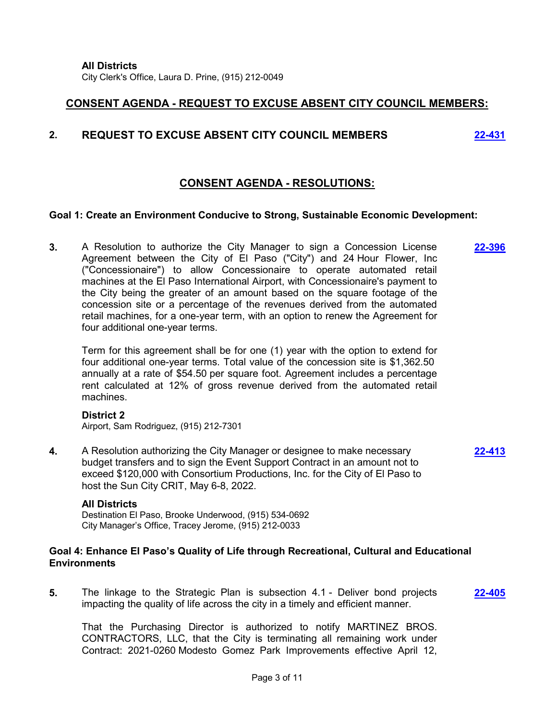## **CONSENT AGENDA - REQUEST TO EXCUSE ABSENT CITY COUNCIL MEMBERS:**

## **2. REQUEST TO EXCUSE ABSENT CITY COUNCIL MEMBERS [22-431](http://elpasotexas.legistar.com/gateway.aspx?m=l&id=/matter.aspx?key=6895)**

## **CONSENT AGENDA - RESOLUTIONS:**

### **Goal 1: Create an Environment Conducive to Strong, Sustainable Economic Development:**

**3.** A Resolution to authorize the City Manager to sign a Concession License Agreement between the City of El Paso ("City") and 24 Hour Flower, Inc ("Concessionaire") to allow Concessionaire to operate automated retail machines at the El Paso International Airport, with Concessionaire's payment to the City being the greater of an amount based on the square footage of the concession site or a percentage of the revenues derived from the automated retail machines, for a one-year term, with an option to renew the Agreement for four additional one-year terms. **[22-396](http://elpasotexas.legistar.com/gateway.aspx?m=l&id=/matter.aspx?key=6860)**

Term for this agreement shall be for one (1) year with the option to extend for four additional one-year terms. Total value of the concession site is \$1,362.50 annually at a rate of \$54.50 per square foot. Agreement includes a percentage rent calculated at 12% of gross revenue derived from the automated retail machines.

### **District 2**

Airport, Sam Rodriguez, (915) 212-7301

**4.** A Resolution authorizing the City Manager or designee to make necessary budget transfers and to sign the Event Support Contract in an amount not to exceed \$120,000 with Consortium Productions, Inc. for the City of El Paso to host the Sun City CRIT, May 6-8, 2022.

**[22-413](http://elpasotexas.legistar.com/gateway.aspx?m=l&id=/matter.aspx?key=6877)**

### **All Districts**

Destination El Paso, Brooke Underwood, (915) 534-0692 City Manager's Office, Tracey Jerome, (915) 212-0033

### **Goal 4: Enhance El Paso's Quality of Life through Recreational, Cultural and Educational Environments**

**5.** The linkage to the Strategic Plan is subsection 4.1 - Deliver bond projects impacting the quality of life across the city in a timely and efficient manner. **[22-405](http://elpasotexas.legistar.com/gateway.aspx?m=l&id=/matter.aspx?key=6869)**

That the Purchasing Director is authorized to notify MARTINEZ BROS. CONTRACTORS, LLC, that the City is terminating all remaining work under Contract: 2021-0260 Modesto Gomez Park Improvements effective April 12,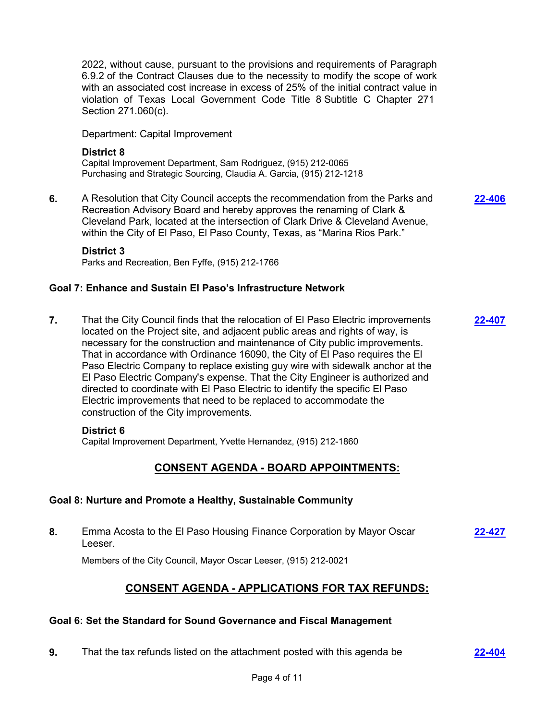2022, without cause, pursuant to the provisions and requirements of Paragraph 6.9.2 of the Contract Clauses due to the necessity to modify the scope of work with an associated cost increase in excess of 25% of the initial contract value in violation of Texas Local Government Code Title 8 Subtitle C Chapter 271 Section 271.060(c).

Department: Capital Improvement

### **District 8**

Capital Improvement Department, Sam Rodriguez, (915) 212-0065 Purchasing and Strategic Sourcing, Claudia A. Garcia, (915) 212-1218

**6.** A Resolution that City Council accepts the recommendation from the Parks and Recreation Advisory Board and hereby approves the renaming of Clark & Cleveland Park, located at the intersection of Clark Drive & Cleveland Avenue, within the City of El Paso, El Paso County, Texas, as "Marina Rios Park."

**[22-406](http://elpasotexas.legistar.com/gateway.aspx?m=l&id=/matter.aspx?key=6870)**

### **District 3**

Parks and Recreation, Ben Fyffe, (915) 212-1766

## **Goal 7: Enhance and Sustain El Paso's Infrastructure Network**

**7.** That the City Council finds that the relocation of El Paso Electric improvements located on the Project site, and adjacent public areas and rights of way, is necessary for the construction and maintenance of City public improvements. That in accordance with Ordinance 16090, the City of El Paso requires the El Paso Electric Company to replace existing guy wire with sidewalk anchor at the El Paso Electric Company's expense. That the City Engineer is authorized and directed to coordinate with El Paso Electric to identify the specific El Paso Electric improvements that need to be replaced to accommodate the construction of the City improvements. **[22-407](http://elpasotexas.legistar.com/gateway.aspx?m=l&id=/matter.aspx?key=6871)**

## **District 6**

Capital Improvement Department, Yvette Hernandez, (915) 212-1860

## **CONSENT AGENDA - BOARD APPOINTMENTS:**

## **Goal 8: Nurture and Promote a Healthy, Sustainable Community**

**8.** Emma Acosta to the El Paso Housing Finance Corporation by Mayor Oscar Leeser. **[22-427](http://elpasotexas.legistar.com/gateway.aspx?m=l&id=/matter.aspx?key=6891)**

Members of the City Council, Mayor Oscar Leeser, (915) 212-0021

## **CONSENT AGENDA - APPLICATIONS FOR TAX REFUNDS:**

## **Goal 6: Set the Standard for Sound Governance and Fiscal Management**

**9.** That the tax refunds listed on the attachment posted with this agenda be **[22-404](http://elpasotexas.legistar.com/gateway.aspx?m=l&id=/matter.aspx?key=6868)**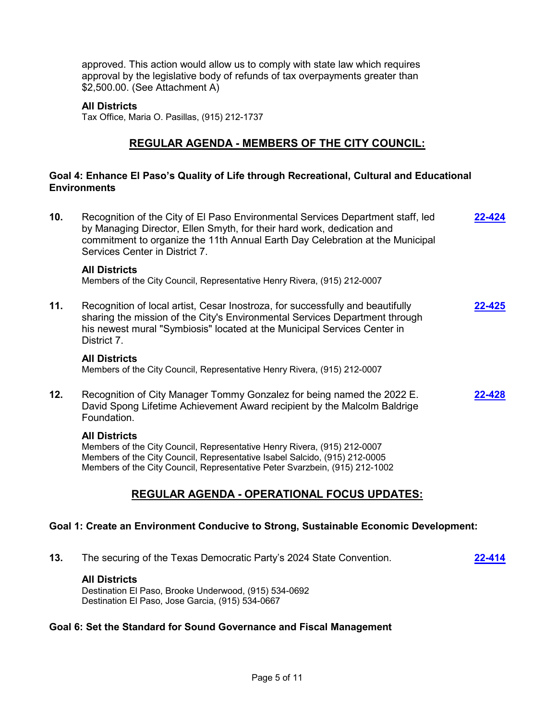approved. This action would allow us to comply with state law which requires approval by the legislative body of refunds of tax overpayments greater than \$2,500.00. (See Attachment A)

### **All Districts**

Tax Office, Maria O. Pasillas, (915) 212-1737

## **REGULAR AGENDA - MEMBERS OF THE CITY COUNCIL:**

### **Goal 4: Enhance El Paso's Quality of Life through Recreational, Cultural and Educational Environments**

**10.** Recognition of the City of El Paso Environmental Services Department staff, led by Managing Director, Ellen Smyth, for their hard work, dedication and commitment to organize the 11th Annual Earth Day Celebration at the Municipal Services Center in District 7. **[22-424](http://elpasotexas.legistar.com/gateway.aspx?m=l&id=/matter.aspx?key=6888)**

### **All Districts**

Members of the City Council, Representative Henry Rivera, (915) 212-0007

**11.** Recognition of local artist, Cesar Inostroza, for successfully and beautifully sharing the mission of the City's Environmental Services Department through his newest mural "Symbiosis" located at the Municipal Services Center in District 7. **[22-425](http://elpasotexas.legistar.com/gateway.aspx?m=l&id=/matter.aspx?key=6889)**

#### **All Districts**

Members of the City Council, Representative Henry Rivera, (915) 212-0007

**12.** Recognition of City Manager Tommy Gonzalez for being named the 2022 E. David Spong Lifetime Achievement Award recipient by the Malcolm Baldrige Foundation. **[22-428](http://elpasotexas.legistar.com/gateway.aspx?m=l&id=/matter.aspx?key=6892)**

### **All Districts**

Members of the City Council, Representative Henry Rivera, (915) 212-0007 Members of the City Council, Representative Isabel Salcido, (915) 212-0005 Members of the City Council, Representative Peter Svarzbein, (915) 212-1002

## **REGULAR AGENDA - OPERATIONAL FOCUS UPDATES:**

### **Goal 1: Create an Environment Conducive to Strong, Sustainable Economic Development:**

**13.** The securing of the Texas Democratic Party's 2024 State Convention. **[22-414](http://elpasotexas.legistar.com/gateway.aspx?m=l&id=/matter.aspx?key=6878)**

### **All Districts**

Destination El Paso, Brooke Underwood, (915) 534-0692 Destination El Paso, Jose Garcia, (915) 534-0667

### **Goal 6: Set the Standard for Sound Governance and Fiscal Management**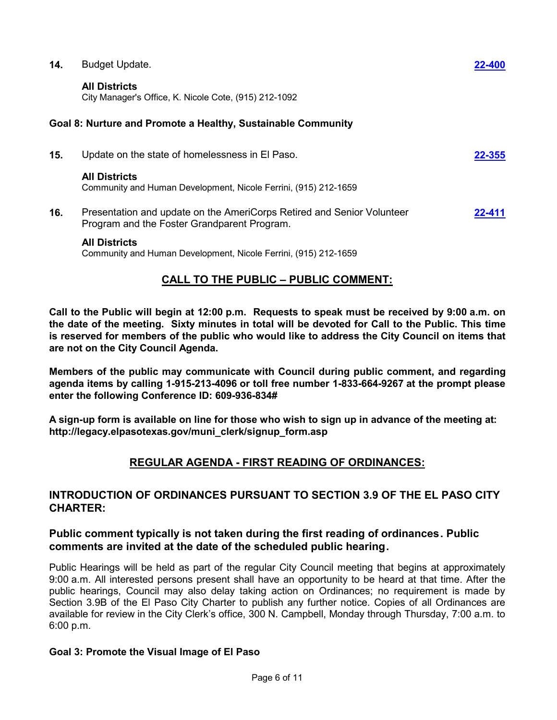| 14. | <b>Budget Update.</b>                                                                                                 | 22-400 |
|-----|-----------------------------------------------------------------------------------------------------------------------|--------|
|     | <b>All Districts</b><br>City Manager's Office, K. Nicole Cote, (915) 212-1092                                         |        |
|     | Goal 8: Nurture and Promote a Healthy, Sustainable Community                                                          |        |
| 15. | Update on the state of homelessness in El Paso.                                                                       | 22-355 |
|     | <b>All Districts</b><br>Community and Human Development, Nicole Ferrini, (915) 212-1659                               |        |
| 16. | Presentation and update on the AmeriCorps Retired and Senior Volunteer<br>Program and the Foster Grandparent Program. | 22-411 |
|     | <b>All Districts</b><br>Community and Human Development, Nicole Ferrini, (915) 212-1659                               |        |

## **CALL TO THE PUBLIC – PUBLIC COMMENT:**

**Call to the Public will begin at 12:00 p.m. Requests to speak must be received by 9:00 a.m. on the date of the meeting. Sixty minutes in total will be devoted for Call to the Public. This time is reserved for members of the public who would like to address the City Council on items that are not on the City Council Agenda.**

**Members of the public may communicate with Council during public comment, and regarding agenda items by calling 1-915-213-4096 or toll free number 1-833-664-9267 at the prompt please enter the following Conference ID: 609-936-834#** 

**A sign-up form is available on line for those who wish to sign up in advance of the meeting at: http://legacy.elpasotexas.gov/muni\_clerk/signup\_form.asp**

## **REGULAR AGENDA - FIRST READING OF ORDINANCES:**

## **INTRODUCTION OF ORDINANCES PURSUANT TO SECTION 3.9 OF THE EL PASO CITY CHARTER:**

## **Public comment typically is not taken during the first reading of ordinances. Public comments are invited at the date of the scheduled public hearing.**

Public Hearings will be held as part of the regular City Council meeting that begins at approximately 9:00 a.m. All interested persons present shall have an opportunity to be heard at that time. After the public hearings, Council may also delay taking action on Ordinances; no requirement is made by Section 3.9B of the El Paso City Charter to publish any further notice. Copies of all Ordinances are available for review in the City Clerk's office, 300 N. Campbell, Monday through Thursday, 7:00 a.m. to 6:00 p.m.

## **Goal 3: Promote the Visual Image of El Paso**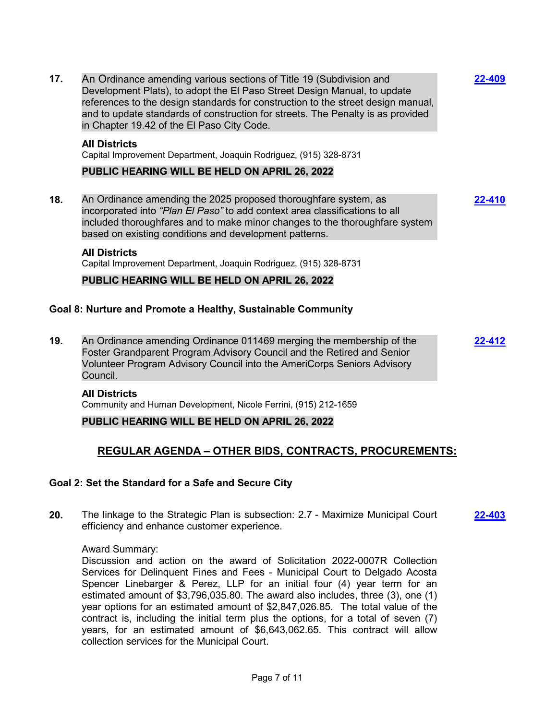Development Plats), to adopt the El Paso Street Design Manual, to update references to the design standards for construction to the street design manual, and to update standards of construction for streets. The Penalty is as provided in Chapter 19.42 of the El Paso City Code. **All Districts** Capital Improvement Department, Joaquin Rodriguez, (915) 328-8731 **PUBLIC HEARING WILL BE HELD ON APRIL 26, 2022 18.** An Ordinance amending the 2025 proposed thoroughfare system, as incorporated into *"Plan El Paso"* to add context area classifications to all included thoroughfares and to make minor changes to the thoroughfare system based on existing conditions and development patterns. **[22-410](http://elpasotexas.legistar.com/gateway.aspx?m=l&id=/matter.aspx?key=6874) All Districts** Capital Improvement Department, Joaquin Rodriguez, (915) 328-8731 **PUBLIC HEARING WILL BE HELD ON APRIL 26, 2022**

**[22-409](http://elpasotexas.legistar.com/gateway.aspx?m=l&id=/matter.aspx?key=6873)**

# **Goal 8: Nurture and Promote a Healthy, Sustainable Community**

**17.** An Ordinance amending various sections of Title 19 (Subdivision and

**19.** An Ordinance amending Ordinance 011469 merging the membership of the Foster Grandparent Program Advisory Council and the Retired and Senior Volunteer Program Advisory Council into the AmeriCorps Seniors Advisory Council. **[22-412](http://elpasotexas.legistar.com/gateway.aspx?m=l&id=/matter.aspx?key=6876)**

#### **All Districts**

Community and Human Development, Nicole Ferrini, (915) 212-1659

### **PUBLIC HEARING WILL BE HELD ON APRIL 26, 2022**

## **REGULAR AGENDA – OTHER BIDS, CONTRACTS, PROCUREMENTS:**

### **Goal 2: Set the Standard for a Safe and Secure City**

**20.** The linkage to the Strategic Plan is subsection: 2.7 - Maximize Municipal Court efficiency and enhance customer experience. **[22-403](http://elpasotexas.legistar.com/gateway.aspx?m=l&id=/matter.aspx?key=6867)**

#### Award Summary:

Discussion and action on the award of Solicitation 2022-0007R Collection Services for Delinquent Fines and Fees - Municipal Court to Delgado Acosta Spencer Linebarger & Perez, LLP for an initial four (4) year term for an estimated amount of \$3,796,035.80. The award also includes, three (3), one (1) year options for an estimated amount of \$2,847,026.85. The total value of the contract is, including the initial term plus the options, for a total of seven (7) years, for an estimated amount of \$6,643,062.65. This contract will allow collection services for the Municipal Court.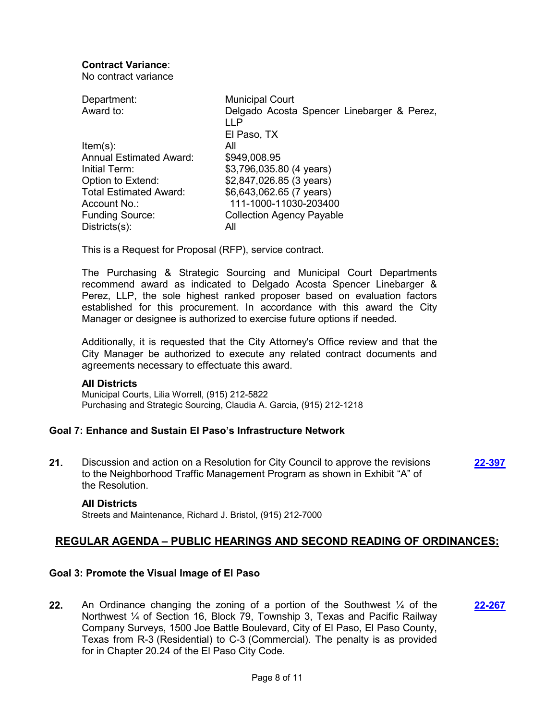## **Contract Variance**:

No contract variance

| Department:<br>Award to:       | <b>Municipal Court</b><br>Delgado Acosta Spencer Linebarger & Perez,<br>LLP |
|--------------------------------|-----------------------------------------------------------------------------|
|                                | El Paso, TX                                                                 |
| $Item(s)$ :                    | All                                                                         |
| <b>Annual Estimated Award:</b> | \$949,008.95                                                                |
| Initial Term:                  | \$3,796,035.80 (4 years)                                                    |
| Option to Extend:              | \$2,847,026.85 (3 years)                                                    |
| <b>Total Estimated Award:</b>  | \$6,643,062.65 (7 years)                                                    |
| Account No.:                   | 111-1000-11030-203400                                                       |
| <b>Funding Source:</b>         | <b>Collection Agency Payable</b>                                            |
| $Disticts(s)$ :                | All                                                                         |

This is a Request for Proposal (RFP), service contract.

The Purchasing & Strategic Sourcing and Municipal Court Departments recommend award as indicated to Delgado Acosta Spencer Linebarger & Perez, LLP, the sole highest ranked proposer based on evaluation factors established for this procurement. In accordance with this award the City Manager or designee is authorized to exercise future options if needed.

Additionally, it is requested that the City Attorney's Office review and that the City Manager be authorized to execute any related contract documents and agreements necessary to effectuate this award.

### **All Districts**

Municipal Courts, Lilia Worrell, (915) 212-5822 Purchasing and Strategic Sourcing, Claudia A. Garcia, (915) 212-1218

### **Goal 7: Enhance and Sustain El Paso's Infrastructure Network**

**21.** Discussion and action on a Resolution for City Council to approve the revisions to the Neighborhood Traffic Management Program as shown in Exhibit "A" of the Resolution. **[22-397](http://elpasotexas.legistar.com/gateway.aspx?m=l&id=/matter.aspx?key=6861)**

#### **All Districts**

Streets and Maintenance, Richard J. Bristol, (915) 212-7000

## **REGULAR AGENDA – PUBLIC HEARINGS AND SECOND READING OF ORDINANCES:**

### **Goal 3: Promote the Visual Image of El Paso**

**22.** An Ordinance changing the zoning of a portion of the Southwest ¼ of the Northwest ¼ of Section 16, Block 79, Township 3, Texas and Pacific Railway Company Surveys, 1500 Joe Battle Boulevard, City of El Paso, El Paso County, Texas from R-3 (Residential) to C-3 (Commercial). The penalty is as provided for in Chapter 20.24 of the El Paso City Code. **[22-267](http://elpasotexas.legistar.com/gateway.aspx?m=l&id=/matter.aspx?key=6731)**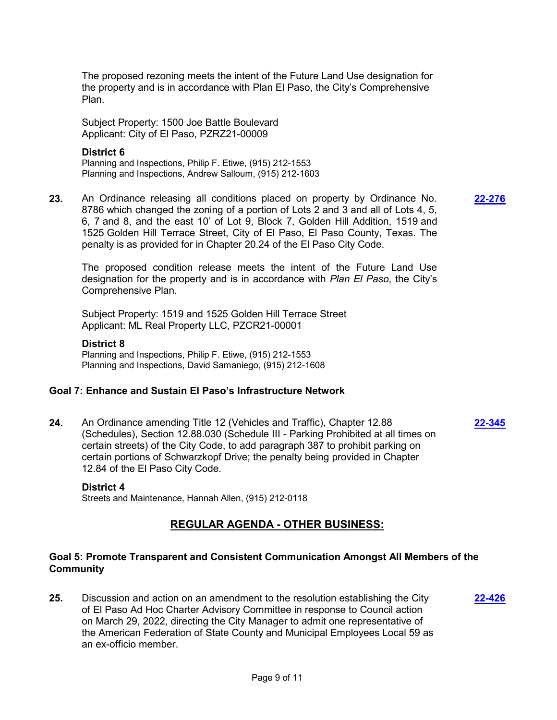The proposed rezoning meets the intent of the Future Land Use designation for the property and is in accordance with Plan El Paso, the City's Comprehensive Plan.

Subject Property: 1500 Joe Battle Boulevard Applicant: City of El Paso, PZRZ21-00009

### **District 6**

Planning and Inspections, Philip F. Etiwe, (915) 212-1553 Planning and Inspections, Andrew Salloum, (915) 212-1603

**23.** An Ordinance releasing all conditions placed on property by Ordinance No. 8786 which changed the zoning of a portion of Lots 2 and 3 and all of Lots 4, 5, 6, 7 and 8, and the east 10' of Lot 9, Block 7, Golden Hill Addition, 1519 and 1525 Golden Hill Terrace Street, City of El Paso, El Paso County, Texas. The penalty is as provided for in Chapter 20.24 of the El Paso City Code.

**[22-276](http://elpasotexas.legistar.com/gateway.aspx?m=l&id=/matter.aspx?key=6740)**

**[22-345](http://elpasotexas.legistar.com/gateway.aspx?m=l&id=/matter.aspx?key=6809)**

The proposed condition release meets the intent of the Future Land Use designation for the property and is in accordance with *Plan El Paso*, the City's Comprehensive Plan.

Subject Property: 1519 and 1525 Golden Hill Terrace Street Applicant: ML Real Property LLC, PZCR21-00001

### **District 8**

Planning and Inspections, Philip F. Etiwe, (915) 212-1553 Planning and Inspections, David Samaniego, (915) 212-1608

### **Goal 7: Enhance and Sustain El Paso's Infrastructure Network**

**24.** An Ordinance amending Title 12 (Vehicles and Traffic), Chapter 12.88 (Schedules), Section 12.88.030 (Schedule III - Parking Prohibited at all times on certain streets) of the City Code, to add paragraph 387 to prohibit parking on certain portions of Schwarzkopf Drive; the penalty being provided in Chapter 12.84 of the El Paso City Code.

#### **District 4**

Streets and Maintenance, Hannah Allen, (915) 212-0118

## **REGULAR AGENDA - OTHER BUSINESS:**

### **Goal 5: Promote Transparent and Consistent Communication Amongst All Members of the Community**

**25.** Discussion and action on an amendment to the resolution establishing the City of El Paso Ad Hoc Charter Advisory Committee in response to Council action on March 29, 2022, directing the City Manager to admit one representative of the American Federation of State County and Municipal Employees Local 59 as an ex-officio member. **[22-426](http://elpasotexas.legistar.com/gateway.aspx?m=l&id=/matter.aspx?key=6890)**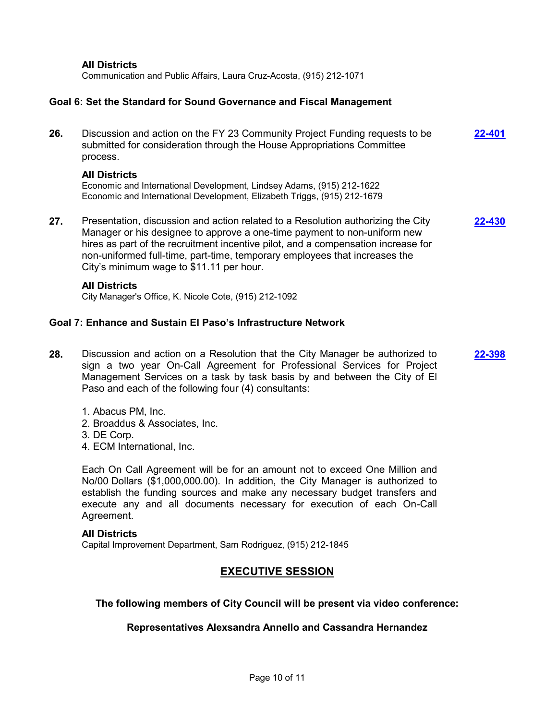**All Districts**

Communication and Public Affairs, Laura Cruz-Acosta, (915) 212-1071

### **Goal 6: Set the Standard for Sound Governance and Fiscal Management**

| 26. | Discussion and action on the FY 23 Community Project Funding requests to be<br>submitted for consideration through the House Appropriations Committee<br>process.         | 22-401 |
|-----|---------------------------------------------------------------------------------------------------------------------------------------------------------------------------|--------|
|     | <b>All Districts</b><br>Economic and International Development, Lindsey Adams, (915) 212-1622<br>Economic and International Development, Elizabeth Triggs, (915) 212-1679 |        |
| 27. | Presentation, discussion and action related to a Resolution authorizing the City<br>Manager or his designee to approve a one-time payment to non-uniform new              | 22-430 |

Manager or his designee to approve a one-time payment to non-uniform new hires as part of the recruitment incentive pilot, and a compensation increase for non-uniformed full-time, part-time, temporary employees that increases the City's minimum wage to \$11.11 per hour.

#### **All Districts**

City Manager's Office, K. Nicole Cote, (915) 212-1092

### **Goal 7: Enhance and Sustain El Paso's Infrastructure Network**

- **28.** Discussion and action on a Resolution that the City Manager be authorized to sign a two year On-Call Agreement for Professional Services for Project Management Services on a task by task basis by and between the City of El Paso and each of the following four (4) consultants: **[22-398](http://elpasotexas.legistar.com/gateway.aspx?m=l&id=/matter.aspx?key=6862)**
	- 1. Abacus PM, Inc.
	- 2. Broaddus & Associates, Inc.
	- 3. DE Corp.
	- 4. ECM International, Inc.

Each On Call Agreement will be for an amount not to exceed One Million and No/00 Dollars (\$1,000,000.00). In addition, the City Manager is authorized to establish the funding sources and make any necessary budget transfers and execute any and all documents necessary for execution of each On-Call Agreement.

#### **All Districts**

Capital Improvement Department, Sam Rodriguez, (915) 212-1845

## **EXECUTIVE SESSION**

### **The following members of City Council will be present via video conference:**

### **Representatives Alexsandra Annello and Cassandra Hernandez**